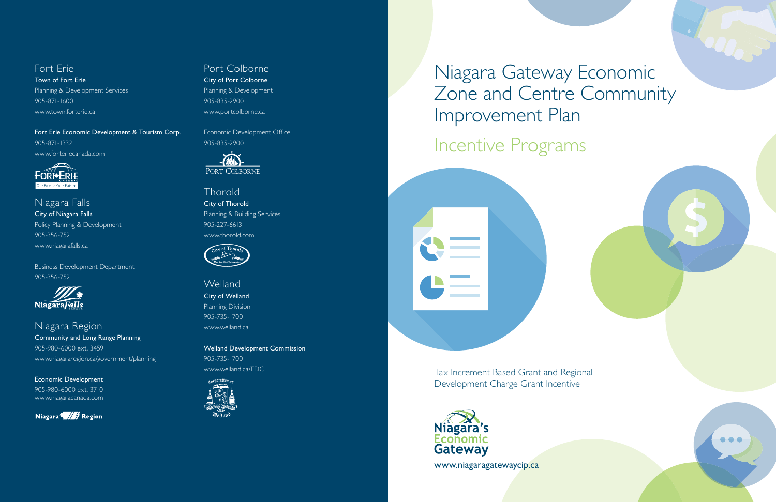Niagara Gateway Economic Zone and Centre Community Improvement Plan

# Incentive Programs



Tax Increment Based Grant and Regional Development Charge Grant Incentive



www.niagaragatewaycip.ca



## Fort Erie

Town of Fort Erie Planning & Development Services 905-871-1600 www.town.forterie.ca

Fort Erie Economic Development & Tourism Corp. 905-871-1332 www.forteriecanada.com



Niagara Falls City of Niagara Falls Policy Planning & Development 905-356-7521 www.niagarafalls.ca

**Thorold** City of Thorold Planning & Building Services 905-227-6613 www.thorold.com



Business Development Department 905-356-7521



**Welland** City of Welland Planning Division 905-735-1700 www.welland.ca

Niagara Region Community and Long Range Planning 905-980-6000 ext. 3459 www.niagararegion.ca/government/planning

Economic Development 905-980-6000 ext. 3710 www.niagaracanada.com



## Port Colborne

City of Port Colborne Planning & Development 905-835-2900 www.portcolborne.ca

Economic Development Office 905-835-2900



Welland Development Commission 905-735-1700 www.welland.ca/EDC